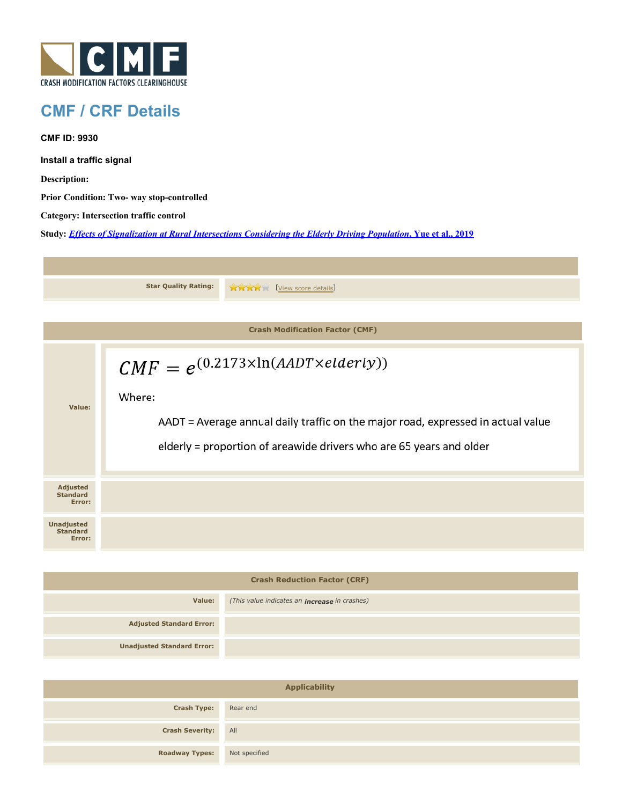

## **CMF / CRF Details**

**CMF ID: 9930**

**Install a traffic signal**

**Description:** 

**Prior Condition: Two- way stop-controlled**

**Category: Intersection traffic control**

**Study:** *[Effects of Signalization at Rural Intersections Considering the Elderly Driving Population](http://www.cmfclearinghouse.org/study_detail.cfm?stid=560)***[, Yue et al., 2019](http://www.cmfclearinghouse.org/study_detail.cfm?stid=560)**

|                                                | <b>Star Quality Rating:</b><br><b>THE EVIEW SCOPE details</b>                                                                                                                                                             |  |  |
|------------------------------------------------|---------------------------------------------------------------------------------------------------------------------------------------------------------------------------------------------------------------------------|--|--|
|                                                |                                                                                                                                                                                                                           |  |  |
| <b>Crash Modification Factor (CMF)</b>         |                                                                                                                                                                                                                           |  |  |
| Value:                                         | $CMF = e^{(0.2173 \times \ln(AADT \times elderly))}$<br>Where:<br>AADT = Average annual daily traffic on the major road, expressed in actual value<br>elderly = proportion of areawide drivers who are 65 years and older |  |  |
| <b>Adjusted</b><br><b>Standard</b><br>Error:   |                                                                                                                                                                                                                           |  |  |
| <b>Unadjusted</b><br><b>Standard</b><br>Error: |                                                                                                                                                                                                                           |  |  |

| <b>Crash Reduction Factor (CRF)</b> |                                                      |  |  |
|-------------------------------------|------------------------------------------------------|--|--|
| Value:                              | (This value indicates an <b>increase</b> in crashes) |  |  |
| <b>Adjusted Standard Error:</b>     |                                                      |  |  |
| <b>Unadjusted Standard Error:</b>   |                                                      |  |  |

| <b>Applicability</b>                |  |  |  |
|-------------------------------------|--|--|--|
| <b>Crash Type:</b> Rear end         |  |  |  |
| <b>Crash Severity:</b> All          |  |  |  |
| <b>Roadway Types:</b> Not specified |  |  |  |